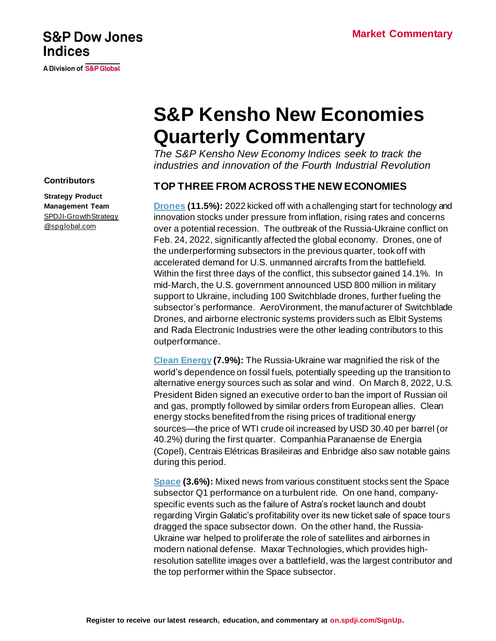# **S&P Dow Jones Indices**

**A Division of S&P Global** 

# **S&P Kensho New Economies Quarterly Commentary**

*The S&P Kensho New Economy Indices seek to track the industries and innovation of the Fourth Industrial Revolution*

# **TOP THREE FROM ACROSS THE NEW ECONOMIES**

**[Drones](https://www.spglobal.com/spdji/en/indices/equity/sp-kensho-drones-index?utm_source=pdf_commentary) (11.5%):** 2022 kicked off with a challenging start for technology and innovation stocks under pressure from inflation, rising rates and concerns over a potential recession. The outbreak of the Russia-Ukraine conflict on Feb. 24, 2022, significantly affected the global economy. Drones, one of the underperforming subsectors in the previous quarter, took off with accelerated demand for U.S. unmanned aircrafts from the battlefield. Within the first three days of the conflict, this subsector gained 14.1%. In mid-March, the U.S. government announced USD 800 million in military support to Ukraine, including 100 Switchblade drones, further fueling the subsector's performance. AeroVironment, the manufacturer of Switchblade Drones, and airborne electronic systems providers such as Elbit Systems and Rada Electronic Industries were the other leading contributors to this outperformance.

**[Clean Energy](https://www.spglobal.com/spdji/en/indices/equity/sp-kensho-clean-energy-index?utm_source=pdf_commentary) (7.9%):** The Russia-Ukraine war magnified the risk of the world's dependence on fossil fuels, potentially speeding up the transition to alternative energy sources such as solar and wind. On March 8, 2022, U.S. President Biden signed an executive order to ban the import of Russian oil and gas, promptly followed by similar orders from European allies. Clean energy stocks benefited from the rising prices of traditional energy sources—the price of WTI crude oil increased by USD 30.40 per barrel (or 40.2%) during the first quarter. Companhia Paranaense de Energia (Copel), Centrais Elétricas Brasileiras and Enbridge also saw notable gains during this period.

**[Space](https://www.spglobal.com/spdji/en/indices/equity/sp-kensho-cyber-security-index/?utm_source=pdf_commentary) (3.6%):** Mixed news from various constituent stocks sent the Space subsector Q1 performance on a turbulent ride. On one hand, companyspecific events such as the failure of Astra's rocket launch and doubt regarding Virgin Galatic's profitability over its new ticket sale of space tours dragged the space subsector down. On the other hand, the Russia-Ukraine war helped to proliferate the role of satellites and airbornes in modern national defense. Maxar Technologies, which provides highresolution satellite images over a battlefield, was the largest contributor and the top performer within the Space subsector.

#### **Contributors**

**Strategy Product Management Team** [SPDJI-GrowthStrategy](mailto:SPDJI-GrowthStrategy@spglobal.com) [@spglobal.com](mailto:SPDJI-GrowthStrategy@spglobal.com)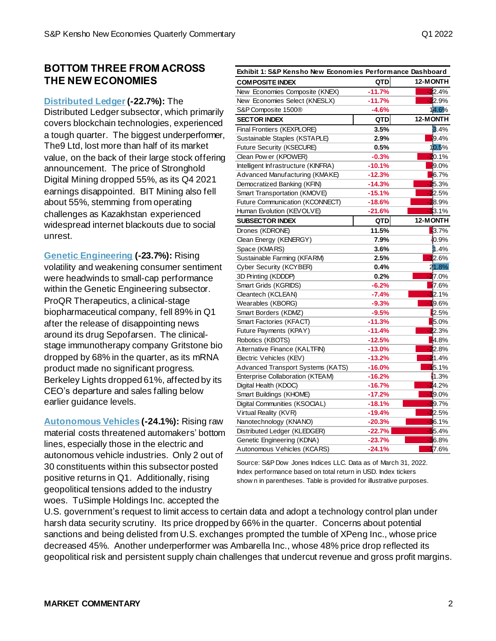#### **BOTTOM THREE FROM ACROSS THE NEW ECONOMIES**

#### **[Distributed](https://www.spglobal.com/spdji/en/indices/equity/sp-kensho-distributed-ledger-index?utm_source=pdf_commentary) Ledger(-22.7%):** The

Distributed Ledger subsector, which primarily covers blockchain technologies, experienced a tough quarter. The biggest underperformer, The9 Ltd, lost more than half of its market value, on the back of their large stock offering announcement. The price of Stronghold Digital Mining dropped 55%, as its Q4 2021 earnings disappointed. BIT Mining also fell about 55%, stemming from operating challenges as Kazakhstan experienced widespread internet blackouts due to social unrest.

**[Genetic Engineering](https://www.spglobal.com/spdji/en/indices/equity/sp-kensho-genetic-engineering-index/?utm_source=pdf_commentary) (-23.7%):** Rising volatility and weakening consumer sentiment were headwinds to small-cap performance within the Genetic Engineering subsector. ProQR Therapeutics, a clinical-stage biopharmaceutical company, fell 89% in Q1 after the release of disappointing news around its drug Sepofarsen. The clinicalstage immunotherapy company Gritstone bio dropped by 68% in the quarter, as its mRNA product made no significant progress. Berkeley Lights dropped 61%, affected by its CEO's departure and sales falling below earlier guidance levels.

**[Autonomous Vehicles](https://www.spglobal.com/spdji/en/indices/equity/sp-kensho-autonomous-vehicles-index/?utm_source=pdf_commentary) (-24.1%):** Rising raw material costs threatened automakers' bottom lines, especially those in the electric and autonomous vehicle industries. Only 2 out of 30 constituents within this subsector posted positive returns in Q1. Additionally, rising geopolitical tensions added to the industry woes. TuSimple Holdings Inc. accepted the

| Exhibit 1: S&P Kensho New Economies Performance Dashboard |            |               |
|-----------------------------------------------------------|------------|---------------|
| <b>COMPOSITE INDEX</b>                                    | <b>QTD</b> | 12-MONTH      |
| New Economies Composite (KNEX)                            | $-11.7%$   | $-22.4%$      |
| New Economies Select (KNESLX)                             | $-11.7%$   | $-22.9%$      |
| S&P Composite 1500 <sup>®</sup>                           | $-4.6%$    | 14.6%         |
| <b>SECTOR INDEX</b>                                       | <b>QTD</b> | 12-MONTH      |
| Final Frontiers (KEXPLORE)                                | 3.5%       | 3.4%          |
| Sustainable Staples (KSTAPLE)                             | 2.9%       | $-9.4%$       |
| Future Security (KSECURE)                                 | 0.5%       | 10.5%         |
| Clean Pow er (KPOWER)                                     | $-0.3%$    | $-20.1%$      |
| Intelligent Infrastructure (KINFRA)                       | $-10.1%$   | $-9.0\%$      |
| Advanced Manufacturing (KMAKE)                            | $-12.3%$   | $-6.7\%$      |
| Democratized Banking (KFIN)                               | $-14.3%$   | 25.3%         |
| Smart Transportation (KMOVE)                              | $-15.1%$   | $-22.5%$      |
| Future Communication (KCONNECT)                           | $-18.6%$   | $-28.9%$      |
| Human Evolution (KEVOLVE)                                 | -21.6%     | $-33.1%$      |
| <b>SUBSECTOR INDEX</b>                                    | QTD        | 12-MONTH      |
| Drones (KDRONE)                                           | 11.5%      | $-3.7%$       |
| Clean Energy (KENERGY)                                    | 7.9%       | 10.9%         |
| Space (KMARS)                                             | 3.6%       | 1.4%          |
| Sustainable Farming (KFARM)                               | 2.5%       | $-12.6%$      |
| Cyber Security (KCYBER)                                   | 0.4%       | 21.8%         |
| 3D Printing (KDDDP)                                       | 0.2%       | $-27.0%$      |
| Smart Grids (KGRIDS)                                      | $-6.2%$    | $-7.6%$       |
| Cleantech (KCLEAN)                                        | $-7.4%$    | 32.1%         |
| Wearables (KBORG)                                         | $-9.3%$    | $-19.6%$      |
| Smart Borders (KDMZ)                                      | $-9.5%$    | 2.5%          |
| Smart Factories (KFACT)                                   | $-11.3%$   | $-5.0%$       |
| Future Payments (KPAY)                                    | $-11.4%$   | $-22.3%$      |
| Robotics (KBOTS)                                          | $-12.5%$   | 4.8%          |
| Alternative Finance (KALTFIN)                             | $-13.0%$   | $-22.8%$      |
| Electric Vehicles (KEV)                                   | $-13.2%$   | 21.4%         |
| Advanced Transport Systems (KATS)                         | $-16.0\%$  | 15.1%         |
| Enterprise Collaboration (KTEAM)                          | -16.2%     | 1.3%          |
| Digital Health (KDOC)                                     | -16.7%     | 24.2%         |
| Smart Buildings (KHOME)                                   | $-17.2%$   | $-19.0\%$     |
| Digital Communities (KSOCIAL)                             | $-18.1%$   | 39.7%         |
| Virtual Reality (KVR)                                     | $-19.4%$   | 22.5%         |
| Nanotechnology (KNANO)                                    | $-20.3%$   | <b>3</b> 6.1% |
| Distributed Ledger (KLEDGER)                              | $-22.7%$   | $-55.4%$      |
| Genetic Engineering (KDNA)                                | $-23.7%$   | $-36.8%$      |
| Autonomous Vehicles (KCARS)                               | $-24.1%$   | $-17.6%$      |

Source: S&P Dow Jones Indices LLC. Data as of March 31, 2022. Index performance based on total return in USD. Index tickers show n in parentheses. Table is provided for illustrative purposes.

U.S. government's request to limit access to certain data and adopt a technology control plan under harsh data security scrutiny. Its price dropped by 66% in the quarter. Concerns about potential sanctions and being delisted from U.S. exchanges prompted the tumble of XPeng Inc., whose price decreased 45%. Another underperformer was Ambarella Inc., whose 48% price drop reflected its geopolitical risk and persistent supply chain challenges that undercut revenue and gross profit margins.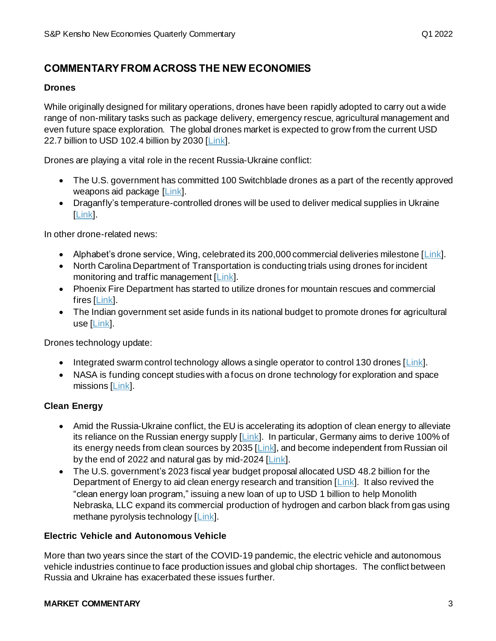# **COMMENTARY FROM ACROSS THE NEW ECONOMIES**

#### **Drones**

While originally designed for military operations, drones have been rapidly adopted to carry out a wide range of non-military tasks such as package delivery, emergency rescue, agricultural management and even future space exploration. The global drones market is expected to grow from the current USD 22.7 billion to USD 102.4 billion by 2030 [\[Link\]](https://www.globenewswire.com/news-release/2022/03/01/2394915/0/en/UAV-Drones-Market-Size-to-Worth-Around-US-102-38-Bn-by-2030.html).

Drones are playing a vital role in the recent Russia-Ukraine conflict:

- The U.S. government has committed 100 Switchblade drones as a part of the recently approved weapons aid package [\[Link\]](https://www.cnbc.com/2022/03/30/us-sends-100-killer-drones-called-switchblades-to-ukraine.html).
- Draganfly's temperature-controlled drones will be used to deliver medical supplies in Ukraine [\[Link\]](https://dronedj.com/2022/03/22/canada-draganfly-drones-deliver-medical-supplies-ukraine/).

In other drone-related news:

- Alphabet's drone service, Wing, celebrated its 200,000 commercial deliveries milestone  $[\text{Link}]$ .
- North Carolina Department of Transportation is conducting trials using drones for incident monitoring and traffic management [\[Link\]](https://www.traffictechnologytoday.com/news/incident-detection/north-carolina-piloting-tethered-drones-to-aid-emergency-traffic-management.html).
- Phoenix Fire Department has started to utilize drones for mountain rescues and commercial fires [\[Link](https://www.abc15.com/news/region-phoenix-metro/central-phoenix/phoenix-fire-to-use-drones-for-mountain-rescues)].
- The Indian government set aside funds in its national budget to promote drones for agricultural use [\[Link\]](https://www.hindustantimes.com/india-news/modi-launches-100-agricultural-drones-across-the-country-101645294860662.html).

Drones technology update:

- Integrated swarm control technology allows a single operator to control 130 drones  $[Link]$ .
- NASA is funding concept studies with a focus on drone technology for exploration and space missions [\[Link\]](https://www.jpl.nasa.gov/news/nasa-selects-futuristic-space-technology-concepts-for-early-study).

#### **Clean Energy**

- Amid the Russia-Ukraine conflict, the EU is accelerating its adoption of clean energy to alleviate its reliance on the Russian energy supply [\[Link](https://gateway.zscalerthree.net/auD?origurl=https%3A%2F%2Fec%2eeuropa%2eeu%2fcommission%2fpresscorner%2fdetail%2fen%2fip_22_1511&_ordtok=bDW3WVRVbF27sV8DTqnjQRR4VV)]. In particular, Germany aims to derive 100% of its energy needs from clean sources by 2035 [\[Link](https://www.reuters.com/business/sustainable-business/germany-aims-get-100-energy-renewable-sources-by-2035-2022-02-28/)], and become independent from Russian oil by the end of 2022 and natural gas by mid-2024 [\[Link](https://www.cleanenergywire.org/news/germany-can-do-without-russian-gas-2024-oil-and-coal-end-2022-econ-min)].
- The U.S. government's 2023 fiscal year budget proposal allocated USD 48.2 billion for the Department of Energy to aid clean energy research and transition  $[\text{Link}]$ . It also revived the "clean energy loan program," issuing a new loan of up to USD 1 billion to help Monolith Nebraska, LLC expand its commercial production of hydrogen and carbon black from gas using methane pyrolysis technology [\[Link](https://www.energy.gov/lpo/articles/open-business-lpo-issues-new-conditional-commitment-loan-guarantee)].

#### **Electric Vehicle and Autonomous Vehicle**

More than two years since the start of the COVID-19 pandemic, the electric vehicle and autonomous vehicle industries continue to face production issues and global chip shortages. The conflict between Russia and Ukraine has exacerbated these issues further.

#### **MARKET COMMENTARY** 3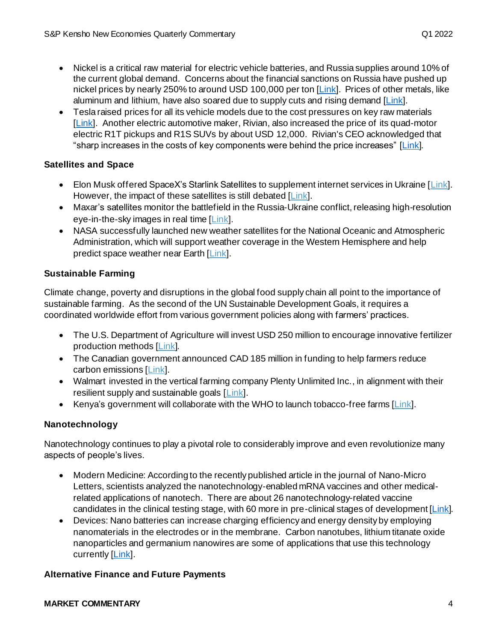- Nickel is a critical raw material for electric vehicle batteries, and Russia supplies around 10% of the current global demand. Concerns about the financial sanctions on Russia have pushed up nickel prices by nearly 250% to around USD 100,000 per ton [\[Link](https://www.reuters.com/markets/europe/russia-disruptions-fuel-nickels-30-spike-15-year-high-2022-03-07/)]. Prices of other metals, like aluminum and lithium, have also soared due to supply cuts and rising demand [\[Link\]](https://www.reuters.com/technology/ukraine-invasion-sets-back-musks-dream-cheaper-evs-now-2022-03-07/).
- Tesla raised prices for all its vehicle models due to the cost pressures on key raw materials [\[Link\]](https://www.theverge.com/2022/3/15/22978817/tesla-ev-price-increase-raw-materials-inflation). Another electric automotive maker, Rivian, also increased the price of its quad-motor electric R1T pickups and R1S SUVs by about USD 12,000. Rivian's CEO acknowledged that "sharp increases in the costs of key components were behind the price increases" [\[Link](https://www.cnbc.com/2022/03/03/rivian-rolls-back-big-price-increases-on-pre-orders-after-customer-backlash.html)].

#### **Satellites and Space**

- Elon Musk offered SpaceX's Starlink Satellites to supplement internet services in Ukraine  $|Link|$ . However, the impact of these satellites is still debated [\[Link\]](https://www.theatlantic.com/science/archive/2022/02/elon-musk-ukraine-starlink-satellites/622954/).
- Maxar's satellites monitor the battlefield in the Russia-Ukraine conflict, releasing high-resolution eye-in-the-sky images in real time [\[Link\]](https://www.maxar.com/news-bureau).
- NASA successfully launched new weather satellites for the National Oceanic and Atmospheric Administration, which will support weather coverage in the Western Hemisphere and help predict space weather near Earth [\[Link\]](https://www.nasa.gov/press-release/nasa-ula-launch-noaa-s-newest-earth-observing-satellite).

#### **Sustainable Farming**

Climate change, poverty and disruptions in the global food supply chain all point to the importance of sustainable farming. As the second of the UN Sustainable Development Goals, it requires a coordinated worldwide effort from various government policies along with farmers' practices.

- The U.S. Department of Agriculture will invest USD 250 million to encourage innovative fertilizer production methods [\[Link](https://www.usda.gov/media/press-releases/2022/03/11/usda-announces-plans-250-million-investment-support-innovative)].
- The Canadian government announced CAD 185 million in funding to help farmers reduce carbon emissions [\[Link\]](https://www.canada.ca/en/agriculture-agri-food/news/2022/02/the-government-of-canada-invests-in-clean-technology-to-support-sustainable-farming-practices0.html).
- Walmart invested in the vertical farming company Plenty Unlimited Inc., in alignment with their resilient supply and sustainable goals [\[Link\]](https://corporate.walmart.com/newsroom/2022/01/25/walmart-and-plenty-partner-to-lead-the-future-of-fresh-produce).
- Kenya's government will collaborate with the WHO to launch tobacco-free farms [\[Link](https://www.afro.who.int/countries/kenya/news/launch-tobacco-free-farms-kenya)].

#### **Nanotechnology**

Nanotechnology continues to play a pivotal role to considerably improve and even revolutionize many aspects of people's lives.

- Modern Medicine: According to the recently published article in the journal of Nano-Micro Letters, scientists analyzed the nanotechnology-enabled mRNA vaccines and other medicalrelated applications of nanotech. There are about 26 nanotechnology-related vaccine candidates in the clinical testing stage, with 60 more in pre-clinical stages of development [\[Link](https://www.news-medical.net/news/20220107/From-laboratory-to-clinic-Nanotechnology-enabled-mRNA-COVID-19-vaccines.aspx)].
- Devices: Nano batteries can increase charging efficiency and energy density by employing nanomaterials in the electrodes or in the membrane. Carbon nanotubes, lithium titanate oxide nanoparticles and germanium nanowires are some of applications that use this technology currently [\[Link](https://www.azonano.com/article.aspx?ArticleID=5939)].

#### **Alternative Finance and Future Payments**

#### **MARKET COMMENTARY** 4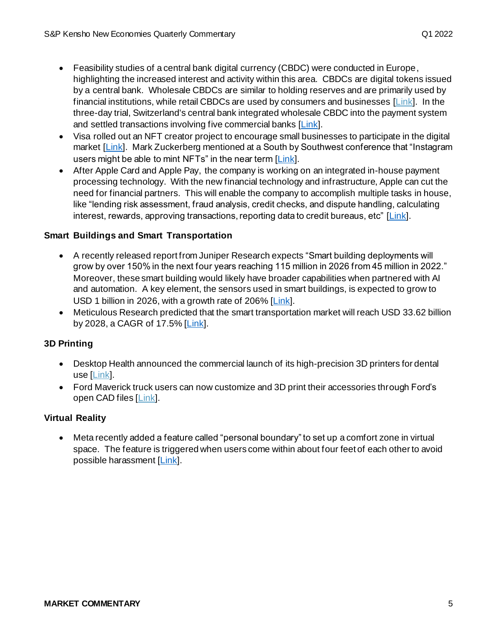- Feasibility studies of a central bank digital currency (CBDC) were conducted in Europe, highlighting the increased interest and activity within this area. CBDCs are digital tokens issued by a central bank. Wholesale CBDCs are similar to holding reserves and are primarily used by financial institutions, while retail CBDCs are used by consumers and businesses  $[Link]$ . In the three-day trial, Switzerland's central bank integrated wholesale CBDC into the payment system and settled transactions involving five commercial banks [\[Link](https://www.usnews.com/news/technology/articles/2022-01-13/switzerland-tests-digital-currency-payments-with-top-investment-banks)].
- Visa rolled out an NFT creator project to encourage small businesses to participate in the digital market [\[Link\]](https://techcrunch.com/2022/03/30/visa-launches-nft-program-as-it-considers-the-digital-art-a-new-form-of-ecommerce/). Mark Zuckerberg mentioned at a South by Southwest conference that "Instagram" users might be able to mint NFTs" in the near term [\[Link\]](https://fortune.com/2022/03/15/mark-zuckerberg-instagram-nft-marketplace-mint/).
- After Apple Card and Apple Pay, the company is working on an integrated in-house payment processing technology. With the new financial technology and infrastructure, Apple can cut the need for financial partners. This will enable the company to accomplish multiple tasks in house, like "lending risk assessment, fraud analysis, credit checks, and dispute handling, calculating interest, rewards, approving transactions, reporting data to credit bureaus, etc" [\[Link](https://www.macrumors.com/2022/03/30/apple-in-house-payment-processing/)].

#### **Smart Buildings and Smart Transportation**

- A recently released report from Juniper Research expects "Smart building deployments will grow by over 150% in the next four years reaching 115 million in 2026 from 45 million in 2022." Moreover, these smart building would likely have broader capabilities when partnered with AI and automation. A key element, the sensors used in smart buildings, is expected to grow to USD 1 billion in 2026, with a growth rate of 206% [\[Link](https://futureiot.tech/smart-building-deployments-to-reach-115-m-globally-in-2026/)].
- Meticulous Research predicted that the smart transportation market will reach USD 33.62 billion by 2028, a CAGR of 17.5% [\[Link](https://www.prnewswire.com/news-releases/smart-transportation-market-is-expected-to-grow-at-a-cagr-of-17-5-from-20212028-to-reach-33-62-billion-by-2028--301497775.html#:~:text=Smart%20transportation%20can%20be%20defined,smarter%20use%20of%20transport%20networks.)].

#### **3D Printing**

- Desktop Health announced the commercial launch of its high-precision 3D printers for dental use [\[Link\]](https://3dprintingindustry.com/news/desktop-health-unveils-new-einstein-dental-3d-printer-and-smile-ultra-resin-technical-specifications-and-pricing-203325/).
- Ford Maverick truck users can now customize and 3D print their accessories through Ford's open CAD files [\[Link\]](https://3dprintingindustry.com/news/ford-releases-open-source-cad-files-for-3d-printing-truck-accessories-204308/).

#### **Virtual Reality**

• Meta recently added a feature called "personal boundary" to set up a comfort zone in virtual space. The feature is triggered when users come within about four feet of each other to avoid possible harassment [\[Link\]](https://www.prnewswire.com/news-releases/augmented-reality-and-virtual-reality-market-size-worth-252-16bn-globally-by-2028-at-36-9-cagr---exclusive-report-by-the-insight-partners-301505652.html).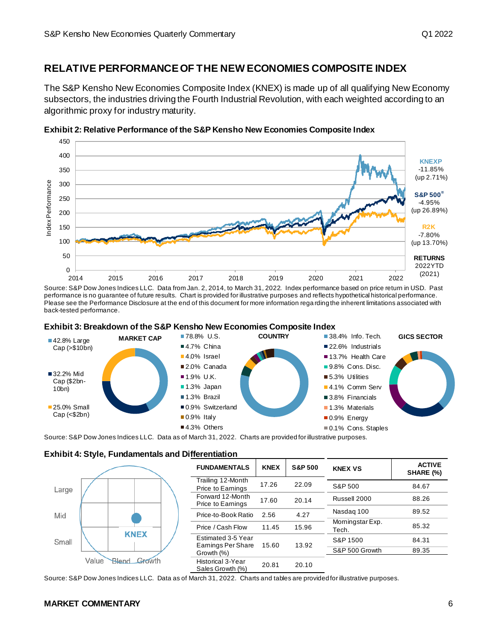### **RELATIVE PERFORMANCE OF THE NEW ECONOMIES COMPOSITE INDEX**

The S&P Kensho New Economies Composite Index (KNEX) is made up of all qualifying New Economy subsectors, the industries driving the Fourth Industrial Revolution, with each weighted according to an algorithmic proxy for industry maturity.



**Exhibit 2: Relative Performance of the S&P Kensho New Economies Composite Index**

Source: S&P Dow Jones Indices LLC. Data from Jan. 2, 2014, to March 31, 2022. Index performance based on price return in USD. Past performance is no guarantee of future results. Chart is provided for illustrative purposes and reflects hypothetical historical performance. Please see the Performance Disclosure at the end of this document for more information rega rding the inherent limitations associated with back-tested performance.





Source: S&P Dow Jones Indices LLC. Data as of March 31, 2022. Charts are provided for illustrative purposes.





Source: S&P Dow Jones Indices LLC. Data as of March 31, 2022. Charts and tables are provided for illustrative purposes.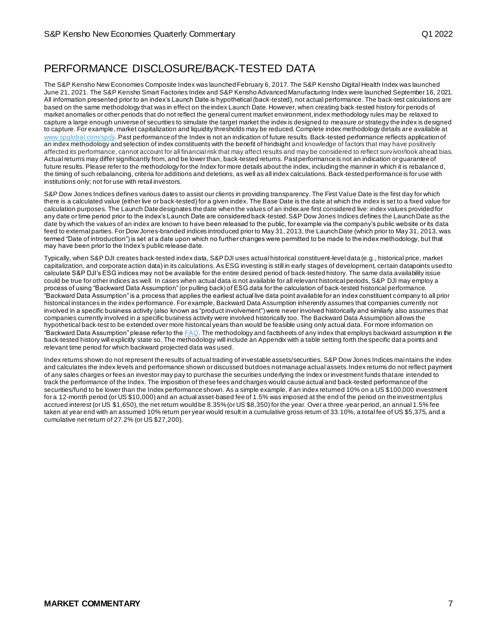# PERFORMANCE DISCLOSURE/BACK-TESTED DATA

The S&P Kensho New Economies Composite Index was launched February 6, 2017. The S&P Kensho Digital Health Index was launched June 21, 2021. The S&P Kensho Smart Factories Index and S&P Kensho Advanced Manufacturing Index were launched September 16, 2021. All information presented prior to an index's Launch Date is hypothetical (back-tested), not actual performance. The back-test calculations are based on the same methodology that was in effect on the index Launch Date. However, when creating back-tested history for periods of market anomalies or other periods that do not reflect the general current market environment, index methodology rules may be relaxed to capture a large enough universe of securities to simulate the target market the index is designed to measure or strategy the index is designed to capture. For example, market capitalization and liquidity thresholds may be reduced. Complete index methodology details are available at [www.spglobal.com/spdji.](http://www.spglobal.com/spdji/en?utm_source=pdf_market_commentary) Past performance of the Index is not an indication of future results. Back-tested performance reflects application of an index methodology and selection of index constituents with the benefit of hindsight and knowledge of factors that may have positively affected its performance, cannot account for all financial risk that may affect results and may be considered to reflect surv ivor/look ahead bias. Actual returns may differ significantly from, and be lower than, back-tested returns. Past performance is not an indication or guarantee of future results. Please refer to the methodology for the Index for more details about the index, including the manner in which it is rebalance d, the timing of such rebalancing, criteria for additions and deletions, as well as all index calculations. Back-tested performance is for use with institutions only; not for use with retail investors.

S&P Dow Jones Indices defines various dates to assist our clients in providing transparency. The First Value Date is the first day for which there is a calculated value (either live or back-tested) for a given index. The Base Date is the date at which the index is set to a fixed value for calculation purposes. The Launch Date designates the date when the values of an index are first considered live: index values provided for any date or time period prior to the index's Launch Date are considered back-tested. S&P Dow Jones Indices defines the Launch Date as the date by which the values of an index are known to have been released to the public, for example via the company's public website or its data feed to external parties. For Dow Jones-branded indices introduced prior to May 31, 2013, the Launch Date (which prior to May 31, 2013, was termed "Date of introduction") is set at a date upon which no further changes were permitted to be made to the index methodology, but that may have been prior to the Index's public release date.

Typically, when S&P DJI creates back-tested index data, S&P DJI uses actual historical constituent-level data (e.g., historical price, market capitalization, and corporate action data) in its calculations. As ESG investing is still in early stages of development, certain datapoints used to calculate S&P DJI's ESG indices may not be available for the entire desired period of back-tested history. The same data availability issue could be true for other indices as well. In cases when actual data is not available for all relevant historical periods, S&P DJI may employ a process of using "Backward Data Assumption" (or pulling back) of ESG data for the calculation of back-tested historical performance. "Backward Data Assumption" is a process that applies the earliest actual live data point available for an index constituent company to all prior historical instances in the index performance. For example, Backward Data Assumption inherently assumes that companies currently not involved in a specific business activity (also known as "product involvement") were never involved historically and similarly also assumes that companies currently involved in a specific business activity were involved historically too. The Backward Data Assumption allows the hypothetical back-test to be extended over more historical years than would be feasible using only actual data. For more information on "Backward Data Assumption" please refer to th[e FAQ](https://www.spglobal.com/spdji/en/education/article/faq-esg-back-testing-backward-data-assumption-overview/?utm_source=pdf_market_commentary). The methodology and factsheets of any index that employs backward assumption in the back-tested history will explicitly state so. The methodology will include an Appendix with a table setting forth the specific dat a points and relevant time period for which backward projected data was used.

Index returns shown do not represent the results of actual trading of investable assets/securities. S&P Dow Jones Indices maintains the index and calculates the index levels and performance shown or discussed but does not manage actual assets. Index returns do not reflect payment of any sales charges or fees an investor may pay to purchase the securities underlying the Index or investment funds that are intended to track the performance of the Index. The imposition of these fees and charges would cause actual and back-tested performance of the securities/fund to be lower than the Index performance shown. As a simple example, if an index returned 10% on a US \$100,000 investment for a 12-month period (or US \$10,000) and an actual asset-based fee of 1.5% was imposed at the end of the period on the investment plus accrued interest (or US \$1,650), the net return would be 8.35% (or US \$8,350) for the year. Over a three -year period, an annual 1.5% fee taken at year end with an assumed 10% return per year would result in a cumulative gross return of 33.10%, a total fee of US \$5,375, and a cumulative net return of 27.2% (or US \$27,200).